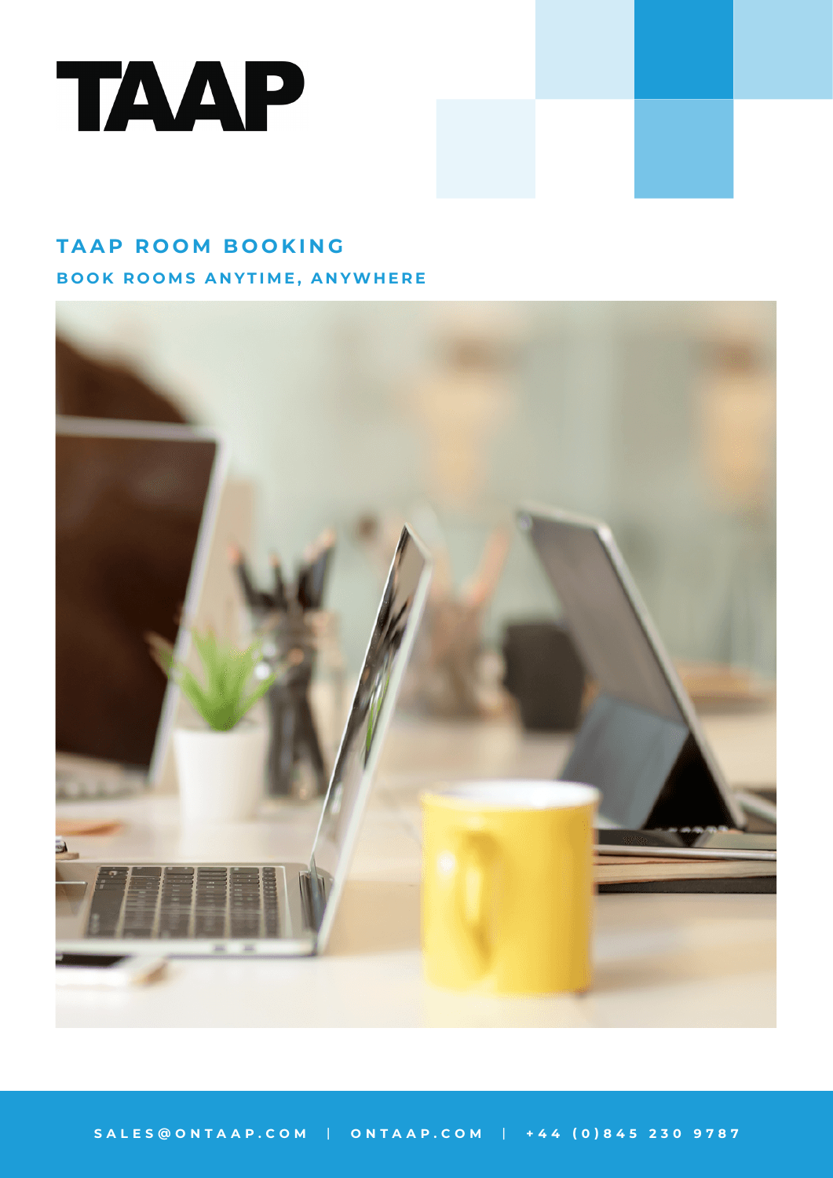

# **TAAP ROOM BOOKING**

**BOOK ROOMS ANYTIME, ANYWHERE**

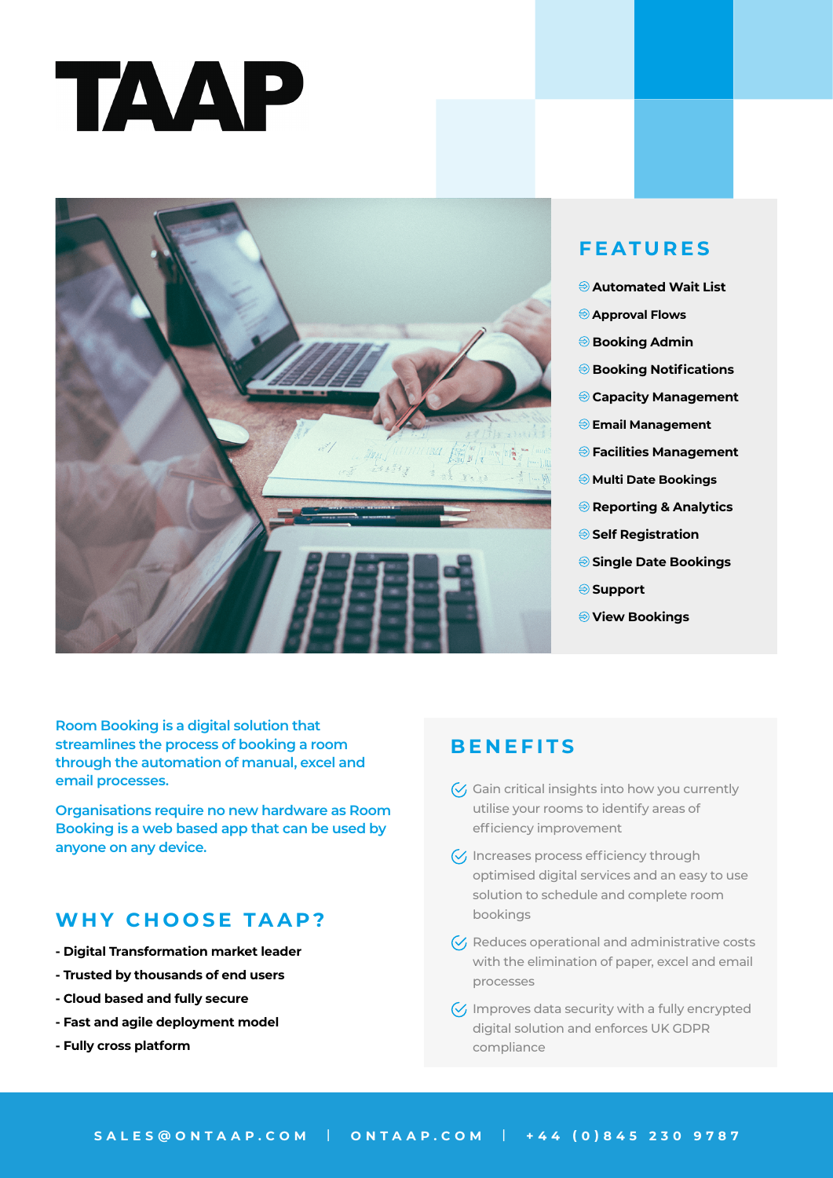



# **FEATURES**

- **Automated Wait List**
- **Approval Flows**
- **Booking Admin**
- **Booking Notifications**
- **Capacity Management**
- **Email Management**
- **Facilities Management**
- **Multi Date Bookings**
- **Reporting & Analytics**
- **Self Registration**
- **Single Date Bookings**
- **Support**
- **View Bookings**

**Room Booking is a digital solution that streamlines the process of booking a room through the automation of manual, excel and email processes.** 

**Organisations require no new hardware as Room Booking is a web based app that can be used by anyone on any device.**

# **WHY CHOOSE TAAP?**

- **Digital Transformation market leader**
- **Trusted by thousands of end users**
- **Cloud based and fully secure**
- **Fast and agile deployment model**
- **Fully cross platform**

### **BENEFITS**

- $\mathcal{G}$  Gain critical insights into how you currently utilise your rooms to identify areas of efficiency improvement
- $\sqrt{\sqrt{}}$  Increases process efficiency through optimised digital services and an easy to use solution to schedule and complete room bookings
- $\mathcal{C}_1$  Reduces operational and administrative costs with the elimination of paper, excel and email processes
- $\sqrt{\left( \right)}$  Improves data security with a fully encrypted digital solution and enforces UK GDPR compliance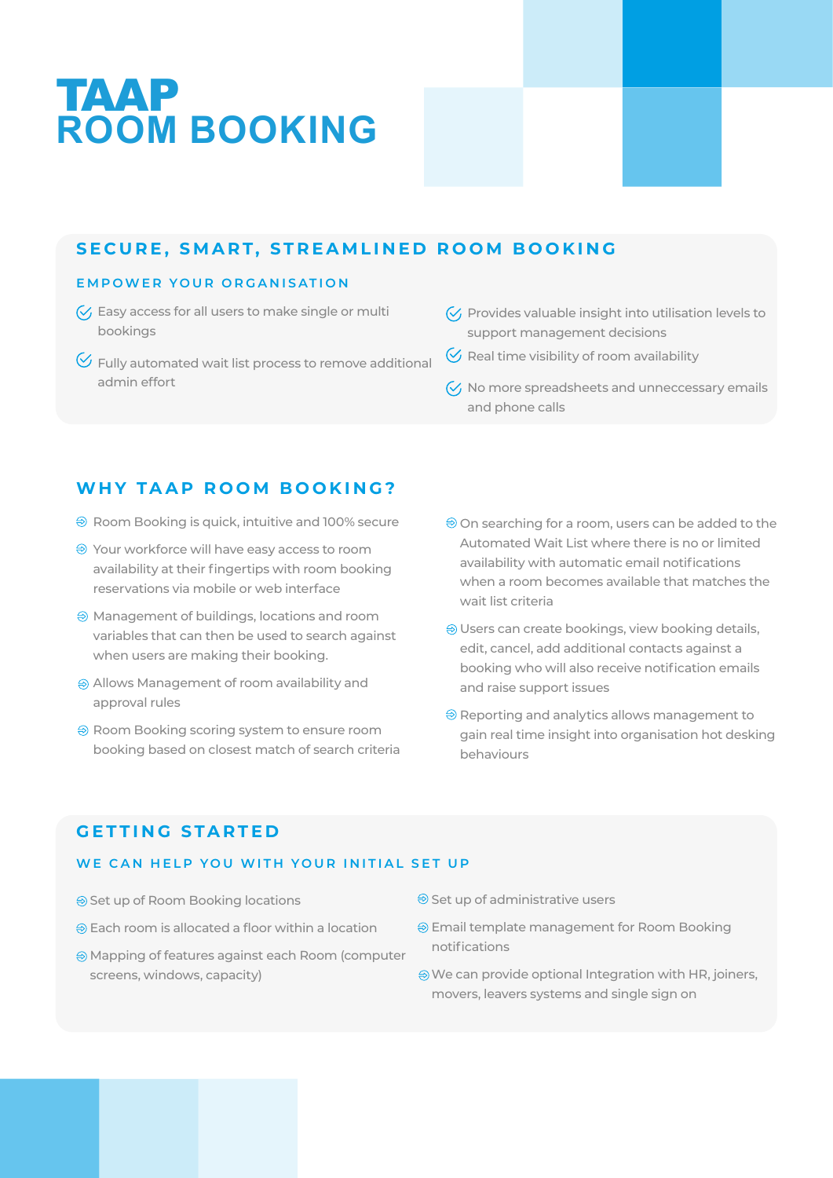# TAAP **ROOM BOOKING**

# **SECURE, SMART, STREAMLINED ROOM BOOKING**

#### **EMPOWER YOUR ORGANISATION**

- $\sqrt{2}$  Easy access for all users to make single or multi bookings
- $\heartsuit$  Fully automated wait list process to remove additional admin effort
- $\sqrt{2}$  Provides valuable insight into utilisation levels to support management decisions
- $\Diamond$  Real time visibility of room availability
- $\sqrt{\phantom{a}}$  No more spreadsheets and unneccessary emails and phone calls

# **WHY TAAP ROOM BOOKING?**

- $\Theta$  Room Booking is quick, intuitive and 100% secure
- Your workforce will have easy access to room availability at their fingertips with room booking reservations via mobile or web interface
- Management of buildings, locations and room variables that can then be used to search against when users are making their booking.
- Allows Management of room availability and approval rules
- **→ Room Booking scoring system to ensure room** booking based on closest match of search criteria
- On searching for a room, users can be added to the Automated Wait List where there is no or limited availability with automatic email notifications when a room becomes available that matches the wait list criteria
- Users can create bookings, view booking details, edit, cancel, add additional contacts against a booking who will also receive notification emails and raise support issues
- $\Theta$  Reporting and analytics allows management to gain real time insight into organisation hot desking behaviours

# **GETTING STARTED**

### **WE CAN HELP YOU WITH YOUR INITIAL SET UP**

- **Set up of Room Booking locations**
- $\oplus$  Each room is allocated a floor within a location
- Mapping of features against each Room (computer screens, windows, capacity)
- $\Theta$  Set up of administrative users
- Email template management for Room Booking notifications
- We can provide optional Integration with HR, joiners, movers, leavers systems and single sign on